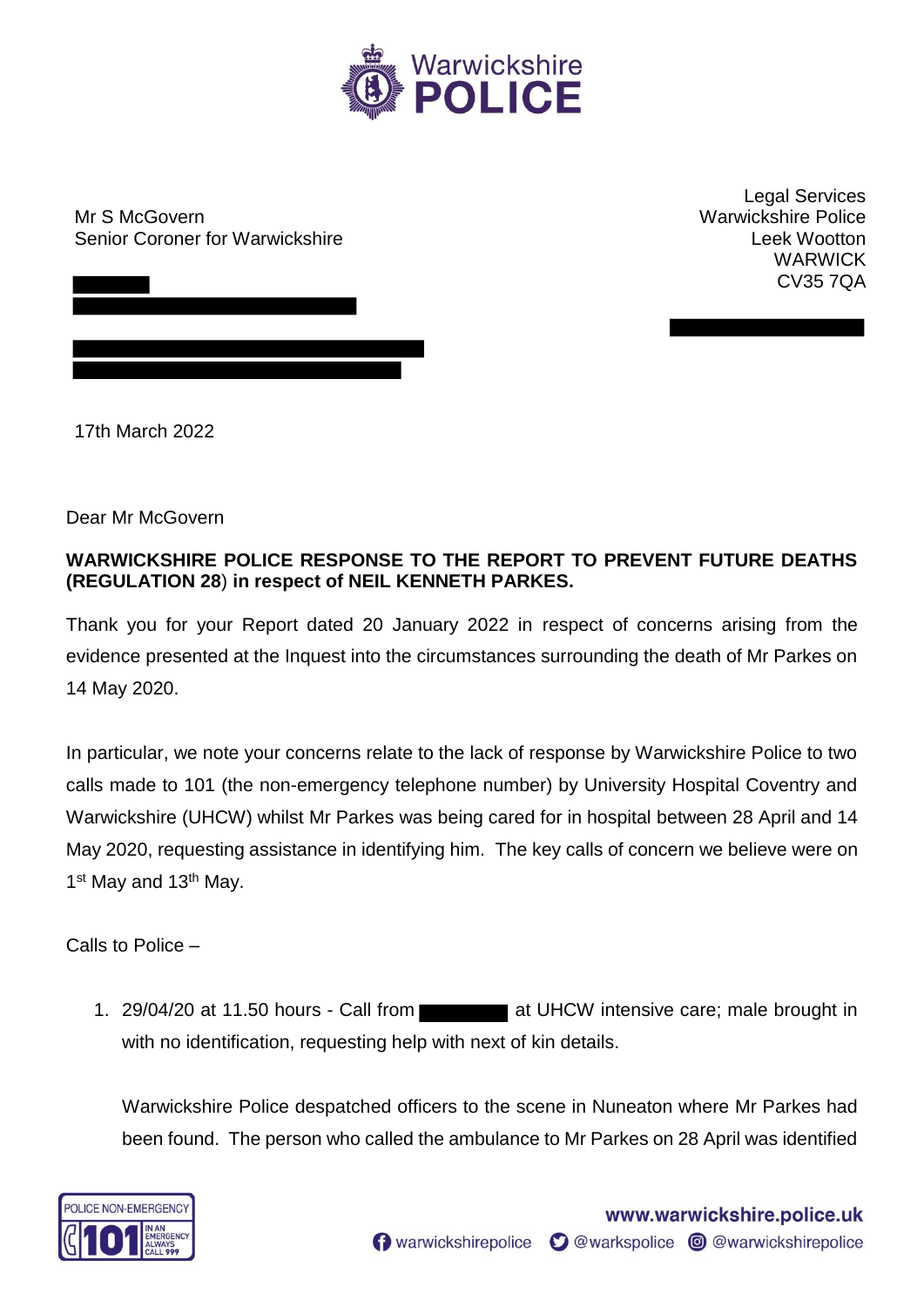

Mr S McGovern Senior Coroner for Warwickshire

Legal Services Warwickshire Police Leek Wootton WARWICK CV35 7QA

17th March 2022

Dear Mr McGovern

## **WARWICKSHIRE POLICE RESPONSE TO THE REPORT TO PREVENT FUTURE DEATHS (REGULATION 28**) **in respect of NEIL KENNETH PARKES.**

Thank you for your Report dated 20 January 2022 in respect of concerns arising from the evidence presented at the Inquest into the circumstances surrounding the death of Mr Parkes on 14 May 2020.

In particular, we note your concerns relate to the lack of response by Warwickshire Police to two calls made to 101 (the non-emergency telephone number) by University Hospital Coventry and Warwickshire (UHCW) whilst Mr Parkes was being cared for in hospital between 28 April and 14 May 2020, requesting assistance in identifying him. The key calls of concern we believe were on 1<sup>st</sup> May and 13<sup>th</sup> May.

Calls to Police –

1. 29/04/20 at 11.50 hours - Call from at UHCW intensive care; male brought in with no identification, requesting help with next of kin details.

Warwickshire Police despatched officers to the scene in Nuneaton where Mr Parkes had been found. The person who called the ambulance to Mr Parkes on 28 April was identified

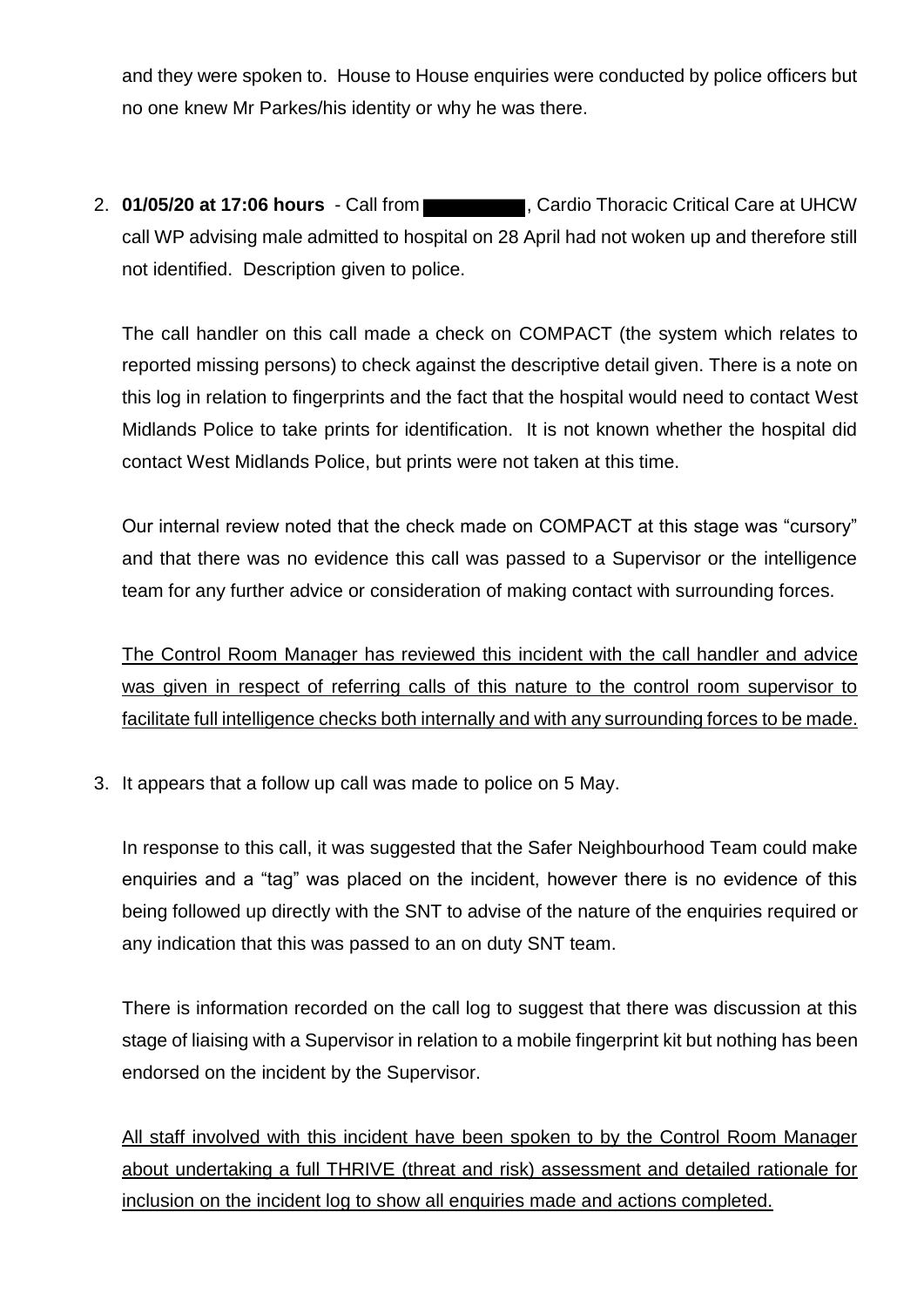and they were spoken to. House to House enquiries were conducted by police officers but no one knew Mr Parkes/his identity or why he was there.

2. **01/05/20 at 17:06 hours** - Call from **Cancel Cardio Thoracic Critical Care at UHCW** call WP advising male admitted to hospital on 28 April had not woken up and therefore still not identified. Description given to police.

The call handler on this call made a check on COMPACT (the system which relates to reported missing persons) to check against the descriptive detail given. There is a note on this log in relation to fingerprints and the fact that the hospital would need to contact West Midlands Police to take prints for identification. It is not known whether the hospital did contact West Midlands Police, but prints were not taken at this time.

Our internal review noted that the check made on COMPACT at this stage was "cursory" and that there was no evidence this call was passed to a Supervisor or the intelligence team for any further advice or consideration of making contact with surrounding forces.

The Control Room Manager has reviewed this incident with the call handler and advice was given in respect of referring calls of this nature to the control room supervisor to facilitate full intelligence checks both internally and with any surrounding forces to be made.

3. It appears that a follow up call was made to police on 5 May.

In response to this call, it was suggested that the Safer Neighbourhood Team could make enquiries and a "tag" was placed on the incident, however there is no evidence of this being followed up directly with the SNT to advise of the nature of the enquiries required or any indication that this was passed to an on duty SNT team.

There is information recorded on the call log to suggest that there was discussion at this stage of liaising with a Supervisor in relation to a mobile fingerprint kit but nothing has been endorsed on the incident by the Supervisor.

All staff involved with this incident have been spoken to by the Control Room Manager about undertaking a full THRIVE (threat and risk) assessment and detailed rationale for inclusion on the incident log to show all enquiries made and actions completed.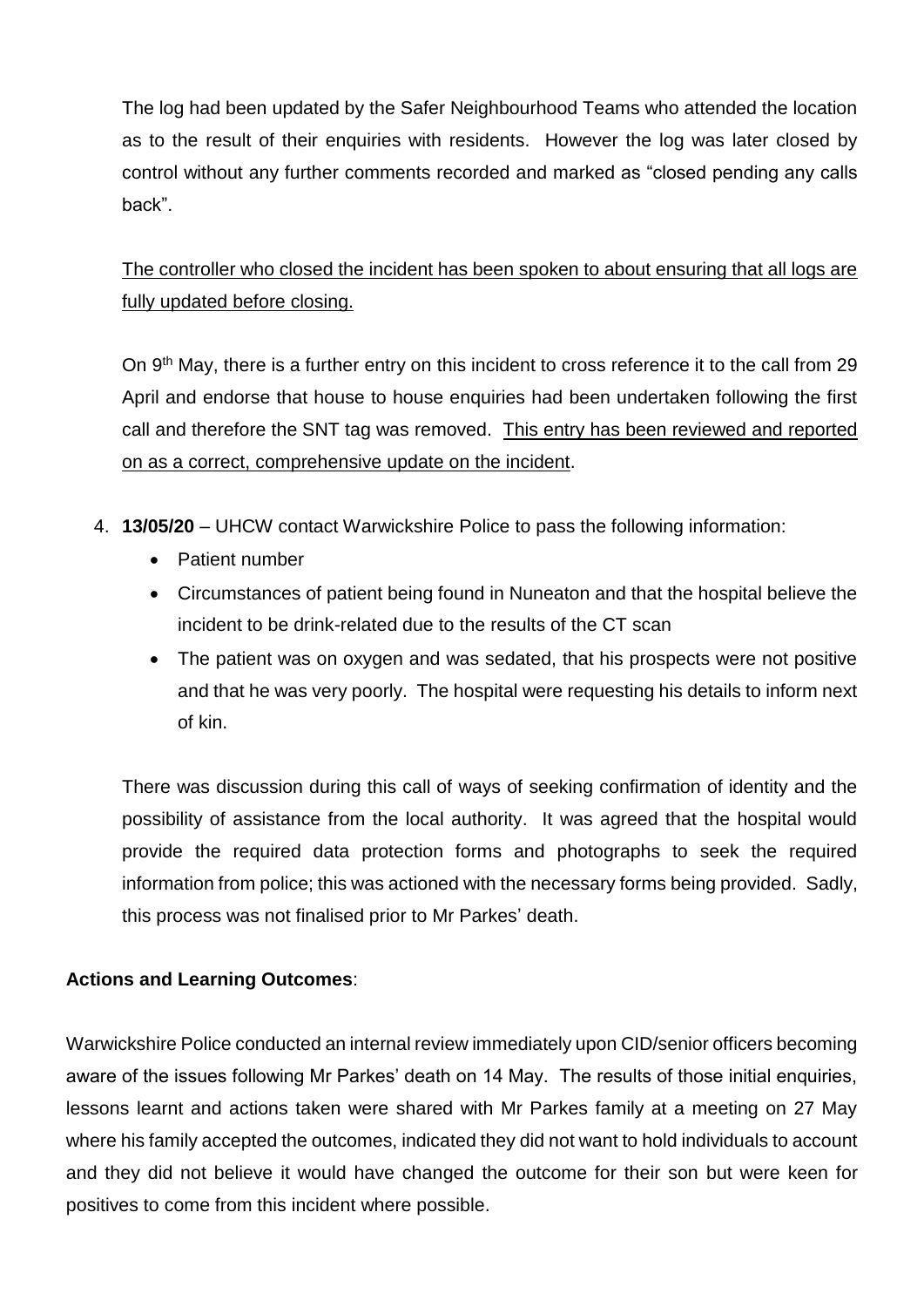The log had been updated by the Safer Neighbourhood Teams who attended the location as to the result of their enquiries with residents. However the log was later closed by control without any further comments recorded and marked as "closed pending any calls back".

The controller who closed the incident has been spoken to about ensuring that all logs are fully updated before closing.

On 9<sup>th</sup> May, there is a further entry on this incident to cross reference it to the call from 29 April and endorse that house to house enquiries had been undertaken following the first call and therefore the SNT tag was removed. This entry has been reviewed and reported on as a correct, comprehensive update on the incident.

- 4. **13/05/20**  UHCW contact Warwickshire Police to pass the following information:
	- Patient number
	- Circumstances of patient being found in Nuneaton and that the hospital believe the incident to be drink-related due to the results of the CT scan
	- The patient was on oxygen and was sedated, that his prospects were not positive and that he was very poorly. The hospital were requesting his details to inform next of kin.

There was discussion during this call of ways of seeking confirmation of identity and the possibility of assistance from the local authority. It was agreed that the hospital would provide the required data protection forms and photographs to seek the required information from police; this was actioned with the necessary forms being provided. Sadly, this process was not finalised prior to Mr Parkes' death.

## **Actions and Learning Outcomes**:

Warwickshire Police conducted an internal review immediately upon CID/senior officers becoming aware of the issues following Mr Parkes' death on 14 May. The results of those initial enquiries, lessons learnt and actions taken were shared with Mr Parkes family at a meeting on 27 May where his family accepted the outcomes, indicated they did not want to hold individuals to account and they did not believe it would have changed the outcome for their son but were keen for positives to come from this incident where possible.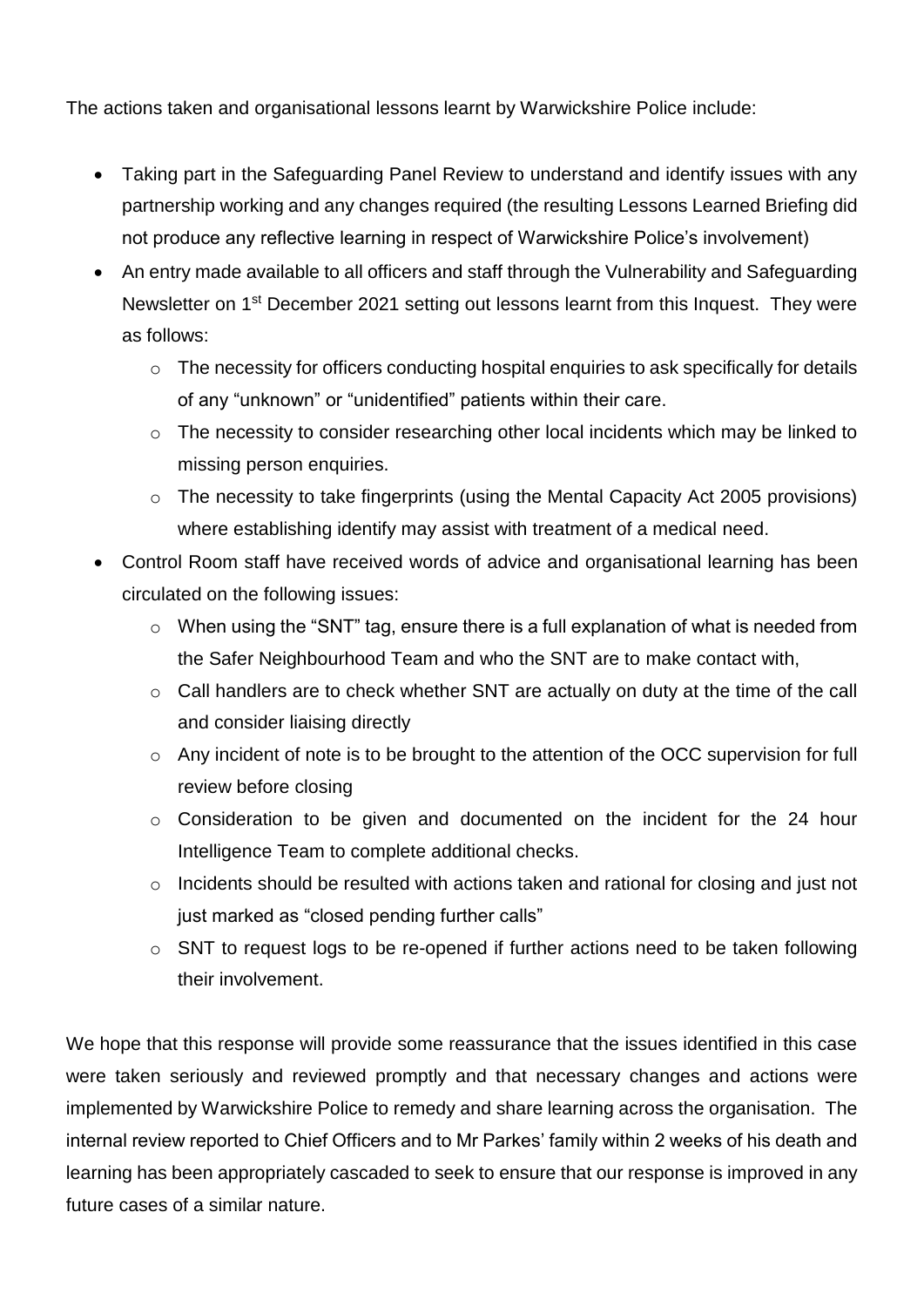The actions taken and organisational lessons learnt by Warwickshire Police include:

- Taking part in the Safeguarding Panel Review to understand and identify issues with any partnership working and any changes required (the resulting Lessons Learned Briefing did not produce any reflective learning in respect of Warwickshire Police's involvement)
- An entry made available to all officers and staff through the Vulnerability and Safeguarding Newsletter on 1<sup>st</sup> December 2021 setting out lessons learnt from this Inquest. They were as follows:
	- o The necessity for officers conducting hospital enquiries to ask specifically for details of any "unknown" or "unidentified" patients within their care.
	- o The necessity to consider researching other local incidents which may be linked to missing person enquiries.
	- o The necessity to take fingerprints (using the Mental Capacity Act 2005 provisions) where establishing identify may assist with treatment of a medical need.
- Control Room staff have received words of advice and organisational learning has been circulated on the following issues:
	- o When using the "SNT" tag, ensure there is a full explanation of what is needed from the Safer Neighbourhood Team and who the SNT are to make contact with,
	- o Call handlers are to check whether SNT are actually on duty at the time of the call and consider liaising directly
	- o Any incident of note is to be brought to the attention of the OCC supervision for full review before closing
	- o Consideration to be given and documented on the incident for the 24 hour Intelligence Team to complete additional checks.
	- $\circ$  Incidents should be resulted with actions taken and rational for closing and just not just marked as "closed pending further calls"
	- o SNT to request logs to be re-opened if further actions need to be taken following their involvement.

We hope that this response will provide some reassurance that the issues identified in this case were taken seriously and reviewed promptly and that necessary changes and actions were implemented by Warwickshire Police to remedy and share learning across the organisation. The internal review reported to Chief Officers and to Mr Parkes' family within 2 weeks of his death and learning has been appropriately cascaded to seek to ensure that our response is improved in any future cases of a similar nature.